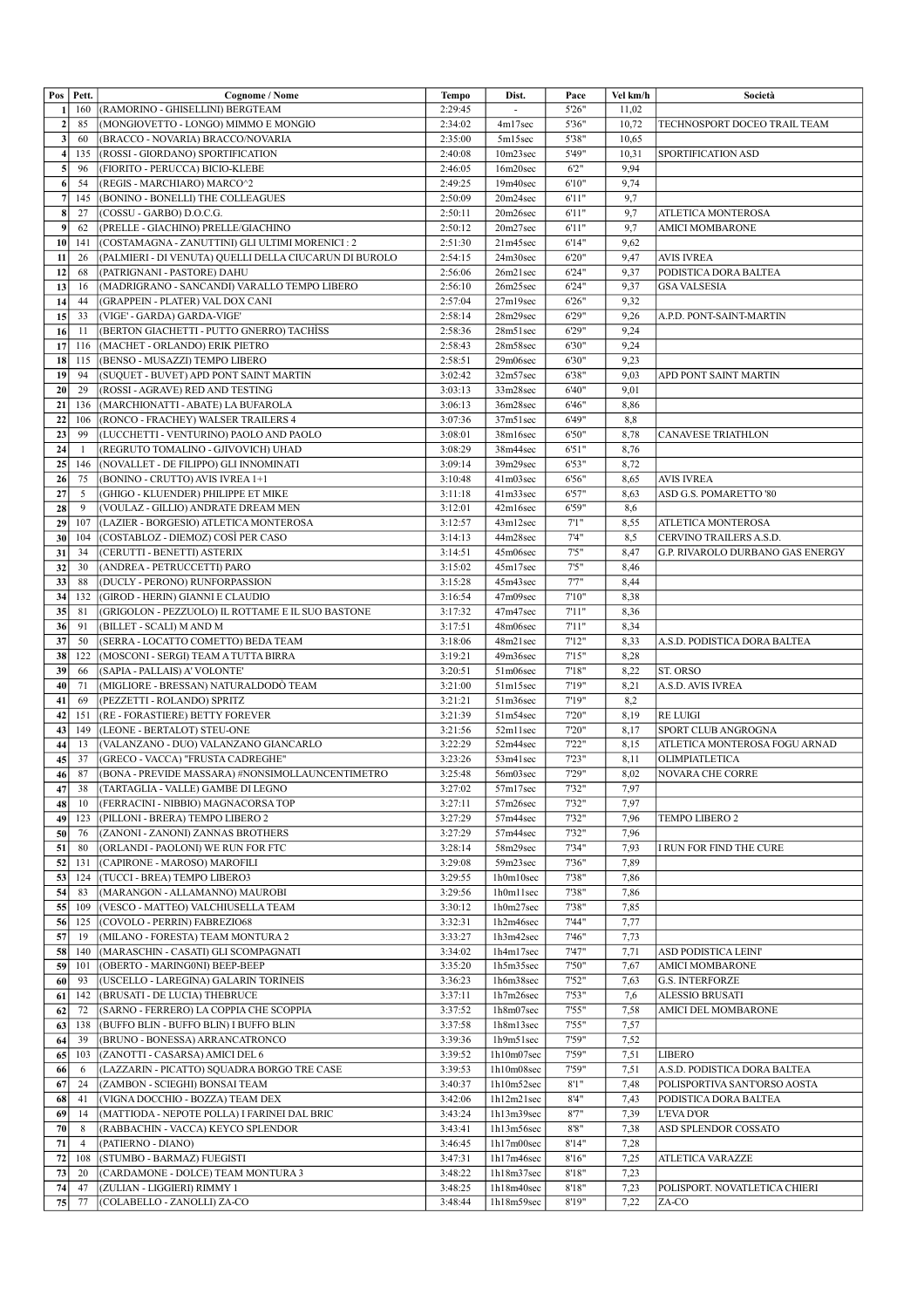|                  | Pos   Pett.    | Cognome / Nome                                         | Tempo   | Dist.                   | Pace   | Vel km/h | Società                                 |
|------------------|----------------|--------------------------------------------------------|---------|-------------------------|--------|----------|-----------------------------------------|
|                  | 160            | (RAMORINO - GHISELLINI) BERGTEAM                       | 2:29:45 | $\blacksquare$          | 5'26"  | 11,02    |                                         |
| $\mathbf{2}$     | 85             | (MONGIOVETTO - LONGO) MIMMO E MONGIO                   | 2:34:02 | 4m17sec                 | 5'36"  | 10,72    | TECHNOSPORT DOCEO TRAIL TEAM            |
| $\vert$ 3        | 60             | (BRACCO - NOVARIA) BRACCO/NOVARIA                      | 2:35:00 | 5m15sec                 | 5'38"  | 10,65    |                                         |
|                  |                |                                                        |         |                         |        |          |                                         |
| $\vert$          | 135            | (ROSSI-GIORDANO) SPORTIFICATION                        | 2:40:08 | 10m23sec                | 5'49"  | 10,31    | SPORTIFICATION ASD                      |
| 5                | 96             | (FIORITO - PERUCCA) BICIO-KLEBE                        | 2:46:05 | 16m20sec                | 6'2''  | 9,94     |                                         |
| 6 <sup>1</sup>   | 54             | (REGIS - MARCHIARO) MARCO^2                            | 2:49:25 | 19m40sec                | 6'10"  | 9,74     |                                         |
| 7                | 145            | (BONINO - BONELLI) THE COLLEAGUES                      | 2:50:09 | 20m24sec                | 6'11"  | 9,7      |                                         |
| $\boldsymbol{8}$ | 27             | (COSSU - GARBO) D.O.C.G.                               | 2:50:11 | 20m26sec                | 6'11"  | 9,7      | ATLETICA MONTEROSA                      |
| 9                | 62             | (PRELLE - GIACHINO) PRELLE/GIACHINO                    | 2:50:12 | 20m27sec                | 6'11"  | 9,7      | <b>AMICI MOMBARONE</b>                  |
| 10               | 141            | (COSTAMAGNA - ZANUTTINI) GLI ULTIMI MORENICI : 2       | 2:51:30 | 21m45sec                | 6'14"  | 9,62     |                                         |
| 11               | 26             | (PALMIERI - DI VENUTA) QUELLI DELLA CIUCARUN DI BUROLO | 2:54:15 | 24m30sec                | 6'20"  | 9,47     | <b>AVIS IVREA</b>                       |
| 12               | 68             | (PATRIGNANI - PASTORE) DAHU                            | 2:56:06 | 26m21sec                | 6'24"  | 9,37     | PODISTICA DORA BALTEA                   |
|                  |                | (MADRIGRANO - SANCANDI) VARALLO TEMPO LIBERO           |         |                         |        |          |                                         |
| 13               | 16             |                                                        | 2:56:10 | 26m25sec                | 6'24"  | 9,37     | <b>GSA VALSESIA</b>                     |
| 14               | 44             | (GRAPPEIN - PLATER) VAL DOX CANI                       | 2:57:04 | 27m19sec                | 6'26"  | 9,32     |                                         |
| 15               | 33             | (VIGE' - GARDA) GARDA-VIGE'                            | 2:58:14 | 28m29sec                | 6'29"  | 9,26     | A.P.D. PONT-SAINT-MARTIN                |
| 16               | -11            | (BERTON GIACHETTI - PUTTO GNERRO) TACHISS              | 2:58:36 | 28m51sec                | 6'29"  | 9,24     |                                         |
| 17               | 116            | (MACHET - ORLANDO) ERIK PIETRO                         | 2:58:43 | 28m58sec                | 6'30"  | 9,24     |                                         |
| 18               | 115            | (BENSO - MUSAZZI) TEMPO LIBERO                         | 2:58:51 | 29m06sec                | 6'30"  | 9,23     |                                         |
| 19               | 94             | (SUQUET - BUVET) APD PONT SAINT MARTIN                 | 3:02:42 | 32m57sec                | 6'38"  | 9,03     | APD PONT SAINT MARTIN                   |
| 20               | 29             | (ROSSI-AGRAVE) RED AND TESTING                         | 3:03:13 | 33m28sec                | 6'40"  | 9,01     |                                         |
| 21               | 136            | (MARCHIONATTI - ABATE) LA BUFAROLA                     | 3:06:13 | 36m28sec                | 6'46"  | 8,86     |                                         |
| 22               | 106            | (RONCO - FRACHEY) WALSER TRAILERS 4                    | 3:07:36 | 37m51sec                | 6'49"  | 8,8      |                                         |
|                  | 99             | (LUCCHETTI - VENTURINO) PAOLO AND PAOLO                |         |                         |        |          |                                         |
| 23               |                |                                                        | 3:08:01 | 38m16sec                | 6'50"  | 8,78     | CANAVESE TRIATHLON                      |
| 24               | -1             | (REGRUTO TOMALINO - GJIVOVICH) UHAD                    | 3:08:29 | 38m44sec                | 6'51"  | 8,76     |                                         |
| 25               | 146            | (NOVALLET - DE FILIPPO) GLI INNOMINATI                 | 3:09:14 | 39m29sec                | 6'53"  | 8,72     |                                         |
| 26               | 75             | (BONINO - CRUTTO) AVIS IVREA 1+1                       | 3:10:48 | 41m03sec                | 6'56"  | 8,65     | <b>AVIS IVREA</b>                       |
| 27               | 5              | (GHIGO - KLUENDER) PHILIPPE ET MIKE                    | 3:11:18 | 41m33sec                | 6'57"  | 8,63     | ASD G.S. POMARETTO '80                  |
| 28               | 9              | (VOULAZ - GILLIO) ANDRATE DREAM MEN                    | 3:12:01 | 42m16sec                | 6'59"  | 8,6      |                                         |
| 29               | 107            | (LAZIER - BORGESIO) ATLETICA MONTEROSA                 | 3:12:57 | 43m12sec                | 7'1''  | 8,55     | ATLETICA MONTEROSA                      |
| 30               | 104            | (COSTABLOZ - DIEMOZ) COSÌ PER CASO                     | 3:14:13 | 44m28sec                | 74"    | 8,5      | CERVINO TRAILERS A.S.D.                 |
| 31               | 34             | (CERUTTI - BENETTI) ASTERIX                            | 3:14:51 | 45m06sec                | 7'5''  | 8,47     | <b>G.P. RIVAROLO DURBANO GAS ENERGY</b> |
|                  |                |                                                        |         |                         |        |          |                                         |
| 32               | 30             | (ANDREA - PETRUCCETTI) PARO                            | 3:15:02 | $\overline{45}$ ml 7sec | 7'5''  | 8,46     |                                         |
| 33               | 88             | (DUCLY - PERONO) RUNFORPASSION                         | 3:15:28 | 45m43sec                | 7'7''  | 8,44     |                                         |
| 34               | 132            | (GIROD - HERIN) GIANNI E CLAUDIO                       | 3:16:54 | 47m09sec                | 7'10"  | 8,38     |                                         |
| 35               | 81             | (GRIGOLON - PEZZUOLO) IL ROTTAME E IL SUO BASTONE      | 3:17:32 | 47m47sec                | 7'11"  | 8,36     |                                         |
| 36               | 91             | (BILLET - SCALI) M AND M                               | 3:17:51 | 48m06sec                | 7'11'' | 8,34     |                                         |
| 37               | 50             | (SERRA - LOCATTO COMETTO) BEDA TEAM                    | 3:18:06 | 48m21sec                | 7'12"  | 8.33     | A.S.D. PODISTICA DORA BALTEA            |
| 38               | 122            | (MOSCONI - SERGI) TEAM A TUTTA BIRRA                   | 3:19:21 | 49m36sec                | 7'15'' | 8,28     |                                         |
| 39               | 66             | (SAPIA - PALLAIS) A' VOLONTE'                          | 3:20:51 | 51m06sec                | 7'18"  | 8,22     | ST. ORSO                                |
| 40               | 71             | (MIGLIORE - BRESSAN) NATURALDODÒ TEAM                  | 3:21:00 | 51m15sec                | 7'19"  | 8,21     | A.S.D. AVIS IVREA                       |
| 41               | 69             | (PEZZETTI - ROLANDO) SPRITZ                            | 3:21:21 | 51m36sec                | 7'19'' | 8,2      |                                         |
|                  |                |                                                        |         | 51m54sec                |        |          | <b>RE LUIGI</b>                         |
| 42               | 151            | (RE - FORASTIERE) BETTY FOREVER                        | 3:21:39 |                         | 7'20"  | 8,19     |                                         |
| 43               | 149            | (LEONE - BERTALOT) STEU-ONE                            | 3:21:56 | 52ml 1sec               | 7'20"  | 8,17     | SPORT CLUB ANGROGNA                     |
| 44               | 13             | (VALANZANO - DUO) VALANZANO GIANCARLO                  | 3:22:29 | 52m44sec                | 7'22"  | 8,15     | ATLETICA MONTEROSA FOGU ARNAD           |
| 45               | 37             | (GRECO - VACCA) "FRUSTA CADREGHE"                      | 3:23:26 | 53m41sec                | 7'23"  | 8,11     | OLIMPIATLETICA                          |
| 46               | 87             | (BONA - PREVIDE MASSARA) #NONSIMOLLAUNCENTIMETRO       | 3:25:48 | 56m03sec                | 7'29"  | 8,02     | <b>NOVARA CHE CORRE</b>                 |
| 47               | 38             | (TARTAGLIA - VALLE) GAMBE DI LEGNO                     | 3:27:02 | 57m17sec                | 7'32"  | 7,97     |                                         |
| 48               | 10             | (FERRACINI - NIBBIO) MAGNACORSA TOP                    | 3:27:11 | 57m26sec                | 7'32"  | 7,97     |                                         |
| 49               | 123            | (PILLONI - BRERA) TEMPO LIBERO 2                       | 3:27:29 | 57m44sec                | 7'32"  | 7,96     | TEMPO LIBERO 2                          |
| 50               | 76             | (ZANONI - ZANONI) ZANNAS BROTHERS                      | 3:27:29 | 57m44sec                | 7'32"  | 7,96     |                                         |
| 51               | 80             | (ORLANDI - PAOLONI) WE RUN FOR FTC                     | 3:28:14 | 58m29sec                | 7'34"  | 7.93     | I RUN FOR FIND THE CURE                 |
| 52               | 131            | (CAPIRONE - MAROSO) MAROFILI                           | 3:29:08 | 59m23sec                | 7'36"  | 7,89     |                                         |
|                  |                |                                                        |         |                         |        |          |                                         |
| 53               | 124            | (TUCCI - BREA) TEMPO LIBERO3                           | 3:29:55 | 1h0m10sec               | 7'38"  | 7,86     |                                         |
| 54               | 83             | (MARANGON - ALLAMANNO) MAUROBI                         | 3:29:56 | 1h0m11sec               | 7'38"  | 7,86     |                                         |
| 55               | 109            | (VESCO - MATTEO) VALCHIUSELLA TEAM                     | 3:30:12 | 1h0m27sec               | 7'38"  | 7,85     |                                         |
| 56               | 125            | (COVOLO - PERRIN) FABREZIO68                           | 3:32:31 | 1h2m46sec               | 7'44"  | 7,77     |                                         |
| 57               | 19             | (MILANO - FORESTA) TEAM MONTURA 2                      | 3:33:27 | 1h3m42sec               | 7'46"  | 7,73     |                                         |
| 58               | 140            | (MARASCHIN - CASATI) GLI SCOMPAGNATI                   | 3:34:02 | 1h4m17sec               | 7'47"  | 7,71     | ASD PODISTICA LEINI'                    |
| 59               | 101            | (OBERTO - MARINGONI) BEEP-BEEP                         | 3:35:20 | 1h5m35sec               | 7'50"  | 7,67     | AMICI MOMBARONE                         |
| 60               | 93             | (USCELLO - LAREGINA) GALARIN TORINEIS                  | 3:36:23 | 1h6m38sec               | 7'52"  | 7,63     | <b>G.S. INTERFORZE</b>                  |
| -61              | 142            | (BRUSATI - DE LUCIA) THEBRUCE                          | 3:37:11 | 1h7m26sec               | 7'53'' | 7,6      | <b>ALESSIO BRUSATI</b>                  |
| 62               | 72             | (SARNO - FERRERO) LA COPPIA CHE SCOPPIA                | 3:37:52 | 1h8m07sec               | 7'55"  | 7,58     | AMICI DEL MOMBARONE                     |
| 63               | 138            | (BUFFO BLIN - BUFFO BLIN) I BUFFO BLIN                 | 3:37:58 | 1h8m13sec               | 7'55"  | 7,57     |                                         |
|                  |                |                                                        |         |                         |        |          |                                         |
| 64               | 39             | (BRUNO - BONESSA) ARRANCATRONCO                        | 3:39:36 | 1h9m51sec               | 7'59"  | 7,52     |                                         |
| 65               | 103            | (ZANOTTI - CASARSA) AMICI DEL 6                        | 3:39:52 | 1h10m07sec              | 7'59'' | 7,51     | <b>LIBERO</b>                           |
| 66               | 6              | (LAZZARIN - PICATTO) SQUADRA BORGO TRE CASE            | 3:39:53 | 1h10m08sec              | 7'59"  | 7,51     | A.S.D. PODISTICA DORA BALTEA            |
| 67               | 24             | (ZAMBON - SCIEGHI) BONSAI TEAM                         | 3:40:37 | 1h10m52sec              | 8'1''  | 7,48     | POLISPORTIVA SANT'ORSO AOSTA            |
| 68               | 41             | (VIGNA DOCCHIO - BOZZA) TEAM DEX                       | 3:42:06 | 1h12m21sec              | 8'4''  | 7.43     | PODISTICA DORA BALTEA                   |
| 69               | 14             | (MATTIODA - NEPOTE POLLA) I FARINEI DAL BRIC           | 3:43:24 | 1h13m39sec              | 8'7''  | 7,39     | <b>L'EVA D'OR</b>                       |
| 70               | 8              | (RABBACHIN - VACCA) KEYCO SPLENDOR                     | 3:43:41 | 1h13m56sec              | 8'8''  | 7,38     | ASD SPLENDOR COSSATO                    |
| 71               | $\overline{4}$ | (PATIERNO - DIANO)                                     | 3:46:45 | 1h17m00sec              | 8'14"  | 7,28     |                                         |
| 72               | 108            | (STUMBO - BARMAZ) FUEGISTI                             | 3:47:31 | 1h17m46sec              | 8'16"  | 7,25     | <b>ATLETICA VARAZZE</b>                 |
|                  |                |                                                        | 3:48:22 |                         | 8'18"  |          |                                         |
| 73               | 20             | (CARDAMONE - DOLCE) TEAM MONTURA 3                     |         | 1h18m37sec              |        | 7,23     |                                         |
| 74               | 47             | (ZULIAN - LIGGIERI) RIMMY 1                            | 3:48:25 | 1h18m40sec              | 8'18"  | 7,23     | POLISPORT. NOVATLETICA CHIERI           |
| 75               | 77             | (COLABELLO - ZANOLLI) ZA-CO                            | 3:48:44 | 1h18m59sec              | 8'19"  | 7,22     | ZA-CO                                   |